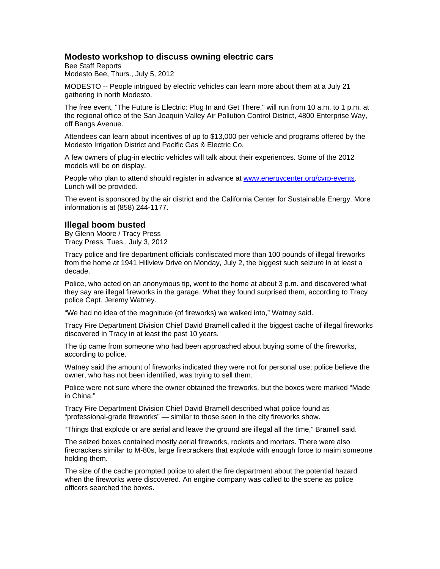# **Modesto workshop to discuss owning electric cars**

Bee Staff Reports Modesto Bee, Thurs., July 5, 2012

MODESTO -- People intrigued by electric vehicles can learn more about them at a July 21 gathering in north Modesto.

The free event, "The Future is Electric: Plug In and Get There," will run from 10 a.m. to 1 p.m. at the regional office of the San Joaquin Valley Air Pollution Control District, 4800 Enterprise Way, off Bangs Avenue.

Attendees can learn about incentives of up to \$13,000 per vehicle and programs offered by the Modesto Irrigation District and Pacific Gas & Electric Co.

A few owners of plug-in electric vehicles will talk about their experiences. Some of the 2012 models will be on display.

People who plan to attend should register in advance at www.energycenter.org/cvrp-events. Lunch will be provided.

The event is sponsored by the air district and the California Center for Sustainable Energy. More information is at (858) 244-1177.

## **Illegal boom busted**

By Glenn Moore / Tracy Press Tracy Press, Tues., July 3, 2012

Tracy police and fire department officials confiscated more than 100 pounds of illegal fireworks from the home at 1941 Hillview Drive on Monday, July 2, the biggest such seizure in at least a decade.

Police, who acted on an anonymous tip, went to the home at about 3 p.m. and discovered what they say are illegal fireworks in the garage. What they found surprised them, according to Tracy police Capt. Jeremy Watney.

"We had no idea of the magnitude (of fireworks) we walked into," Watney said.

Tracy Fire Department Division Chief David Bramell called it the biggest cache of illegal fireworks discovered in Tracy in at least the past 10 years.

The tip came from someone who had been approached about buying some of the fireworks, according to police.

Watney said the amount of fireworks indicated they were not for personal use; police believe the owner, who has not been identified, was trying to sell them.

Police were not sure where the owner obtained the fireworks, but the boxes were marked "Made in China."

Tracy Fire Department Division Chief David Bramell described what police found as "professional-grade fireworks" — similar to those seen in the city fireworks show.

"Things that explode or are aerial and leave the ground are illegal all the time," Bramell said.

The seized boxes contained mostly aerial fireworks, rockets and mortars. There were also firecrackers similar to M-80s, large firecrackers that explode with enough force to maim someone holding them.

The size of the cache prompted police to alert the fire department about the potential hazard when the fireworks were discovered. An engine company was called to the scene as police officers searched the boxes.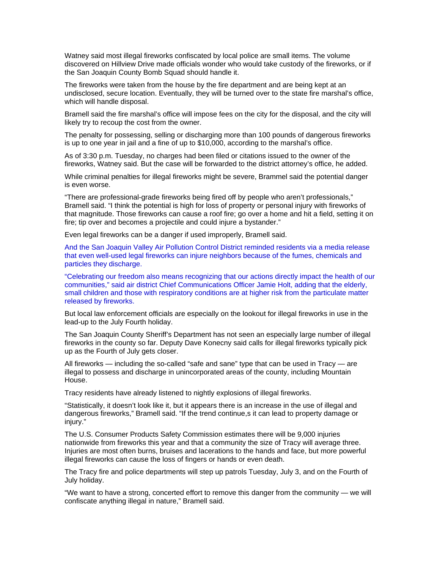Watney said most illegal fireworks confiscated by local police are small items. The volume discovered on Hillview Drive made officials wonder who would take custody of the fireworks, or if the San Joaquin County Bomb Squad should handle it.

The fireworks were taken from the house by the fire department and are being kept at an undisclosed, secure location. Eventually, they will be turned over to the state fire marshal's office, which will handle disposal.

Bramell said the fire marshal's office will impose fees on the city for the disposal, and the city will likely try to recoup the cost from the owner.

The penalty for possessing, selling or discharging more than 100 pounds of dangerous fireworks is up to one year in jail and a fine of up to \$10,000, according to the marshal's office.

As of 3:30 p.m. Tuesday, no charges had been filed or citations issued to the owner of the fireworks, Watney said. But the case will be forwarded to the district attorney's office, he added.

While criminal penalties for illegal fireworks might be severe, Brammel said the potential danger is even worse.

"There are professional-grade fireworks being fired off by people who aren't professionals," Bramell said. "I think the potential is high for loss of property or personal injury with fireworks of that magnitude. Those fireworks can cause a roof fire; go over a home and hit a field, setting it on fire; tip over and becomes a projectile and could injure a bystander."

Even legal fireworks can be a danger if used improperly, Bramell said.

And the San Joaquin Valley Air Pollution Control District reminded residents via a media release that even well-used legal fireworks can injure neighbors because of the fumes, chemicals and particles they discharge.

"Celebrating our freedom also means recognizing that our actions directly impact the health of our communities," said air district Chief Communications Officer Jamie Holt, adding that the elderly, small children and those with respiratory conditions are at higher risk from the particulate matter released by fireworks.

But local law enforcement officials are especially on the lookout for illegal fireworks in use in the lead-up to the July Fourth holiday.

The San Joaquin County Sheriff's Department has not seen an especially large number of illegal fireworks in the county so far. Deputy Dave Konecny said calls for illegal fireworks typically pick up as the Fourth of July gets closer.

All fireworks — including the so-called "safe and sane" type that can be used in Tracy — are illegal to possess and discharge in unincorporated areas of the county, including Mountain House.

Tracy residents have already listened to nightly explosions of illegal fireworks.

"Statistically, it doesn't look like it, but it appears there is an increase in the use of illegal and dangerous fireworks," Bramell said. "If the trend continue,s it can lead to property damage or injury."

The U.S. Consumer Products Safety Commission estimates there will be 9,000 injuries nationwide from fireworks this year and that a community the size of Tracy will average three. Injuries are most often burns, bruises and lacerations to the hands and face, but more powerful illegal fireworks can cause the loss of fingers or hands or even death.

The Tracy fire and police departments will step up patrols Tuesday, July 3, and on the Fourth of July holiday.

"We want to have a strong, concerted effort to remove this danger from the community — we will confiscate anything illegal in nature," Bramell said.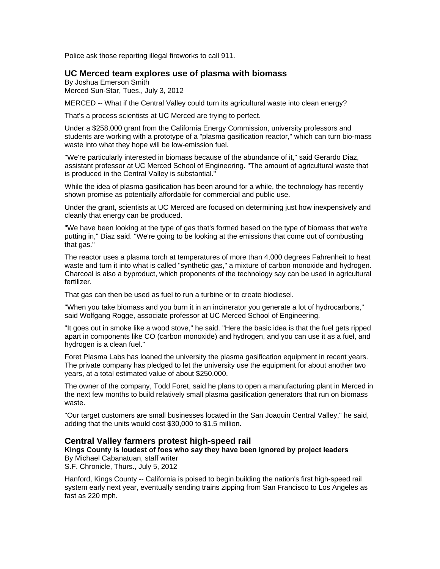Police ask those reporting illegal fireworks to call 911.

### **UC Merced team explores use of plasma with biomass**

By Joshua Emerson Smith Merced Sun-Star, Tues., July 3, 2012

MERCED -- What if the Central Valley could turn its agricultural waste into clean energy?

That's a process scientists at UC Merced are trying to perfect.

Under a \$258,000 grant from the California Energy Commission, university professors and students are working with a prototype of a "plasma gasification reactor," which can turn bio-mass waste into what they hope will be low-emission fuel.

"We're particularly interested in biomass because of the abundance of it," said Gerardo Diaz, assistant professor at UC Merced School of Engineering. "The amount of agricultural waste that is produced in the Central Valley is substantial."

While the idea of plasma gasification has been around for a while, the technology has recently shown promise as potentially affordable for commercial and public use.

Under the grant, scientists at UC Merced are focused on determining just how inexpensively and cleanly that energy can be produced.

"We have been looking at the type of gas that's formed based on the type of biomass that we're putting in," Diaz said. "We're going to be looking at the emissions that come out of combusting that gas."

The reactor uses a plasma torch at temperatures of more than 4,000 degrees Fahrenheit to heat waste and turn it into what is called "synthetic gas," a mixture of carbon monoxide and hydrogen. Charcoal is also a byproduct, which proponents of the technology say can be used in agricultural fertilizer.

That gas can then be used as fuel to run a turbine or to create biodiesel.

"When you take biomass and you burn it in an incinerator you generate a lot of hydrocarbons," said Wolfgang Rogge, associate professor at UC Merced School of Engineering.

"It goes out in smoke like a wood stove," he said. "Here the basic idea is that the fuel gets ripped apart in components like CO (carbon monoxide) and hydrogen, and you can use it as a fuel, and hydrogen is a clean fuel."

Foret Plasma Labs has loaned the university the plasma gasification equipment in recent years. The private company has pledged to let the university use the equipment for about another two years, at a total estimated value of about \$250,000.

The owner of the company, Todd Foret, said he plans to open a manufacturing plant in Merced in the next few months to build relatively small plasma gasification generators that run on biomass waste.

"Our target customers are small businesses located in the San Joaquin Central Valley," he said, adding that the units would cost \$30,000 to \$1.5 million.

## **Central Valley farmers protest high-speed rail**

**Kings County is loudest of foes who say they have been ignored by project leaders**  By Michael Cabanatuan, staff writer

S.F. Chronicle, Thurs., July 5, 2012

Hanford, Kings County -- California is poised to begin building the nation's first high-speed rail system early next year, eventually sending trains zipping from San Francisco to Los Angeles as fast as 220 mph.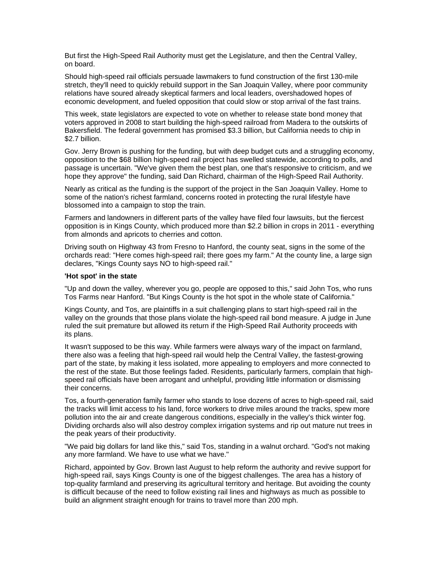But first the High-Speed Rail Authority must get the Legislature, and then the Central Valley, on board.

Should high-speed rail officials persuade lawmakers to fund construction of the first 130-mile stretch, they'll need to quickly rebuild support in the San Joaquin Valley, where poor community relations have soured already skeptical farmers and local leaders, overshadowed hopes of economic development, and fueled opposition that could slow or stop arrival of the fast trains.

This week, state legislators are expected to vote on whether to release state bond money that voters approved in 2008 to start building the high-speed railroad from Madera to the outskirts of Bakersfield. The federal government has promised \$3.3 billion, but California needs to chip in \$2.7 billion.

Gov. Jerry Brown is pushing for the funding, but with deep budget cuts and a struggling economy, opposition to the \$68 billion high-speed rail project has swelled statewide, according to polls, and passage is uncertain. "We've given them the best plan, one that's responsive to criticism, and we hope they approve" the funding, said Dan Richard, chairman of the High-Speed Rail Authority.

Nearly as critical as the funding is the support of the project in the San Joaquin Valley. Home to some of the nation's richest farmland, concerns rooted in protecting the rural lifestyle have blossomed into a campaign to stop the train.

Farmers and landowners in different parts of the valley have filed four lawsuits, but the fiercest opposition is in Kings County, which produced more than \$2.2 billion in crops in 2011 - everything from almonds and apricots to cherries and cotton.

Driving south on Highway 43 from Fresno to Hanford, the county seat, signs in the some of the orchards read: "Here comes high-speed rail; there goes my farm." At the county line, a large sign declares, "Kings County says NO to high-speed rail."

### **'Hot spot' in the state**

"Up and down the valley, wherever you go, people are opposed to this," said John Tos, who runs Tos Farms near Hanford. "But Kings County is the hot spot in the whole state of California."

Kings County, and Tos, are plaintiffs in a suit challenging plans to start high-speed rail in the valley on the grounds that those plans violate the high-speed rail bond measure. A judge in June ruled the suit premature but allowed its return if the High-Speed Rail Authority proceeds with its plans.

It wasn't supposed to be this way. While farmers were always wary of the impact on farmland, there also was a feeling that high-speed rail would help the Central Valley, the fastest-growing part of the state, by making it less isolated, more appealing to employers and more connected to the rest of the state. But those feelings faded. Residents, particularly farmers, complain that highspeed rail officials have been arrogant and unhelpful, providing little information or dismissing their concerns.

Tos, a fourth-generation family farmer who stands to lose dozens of acres to high-speed rail, said the tracks will limit access to his land, force workers to drive miles around the tracks, spew more pollution into the air and create dangerous conditions, especially in the valley's thick winter fog. Dividing orchards also will also destroy complex irrigation systems and rip out mature nut trees in the peak years of their productivity.

"We paid big dollars for land like this," said Tos, standing in a walnut orchard. "God's not making any more farmland. We have to use what we have."

Richard, appointed by Gov. Brown last August to help reform the authority and revive support for high-speed rail, says Kings County is one of the biggest challenges. The area has a history of top-quality farmland and preserving its agricultural territory and heritage. But avoiding the county is difficult because of the need to follow existing rail lines and highways as much as possible to build an alignment straight enough for trains to travel more than 200 mph.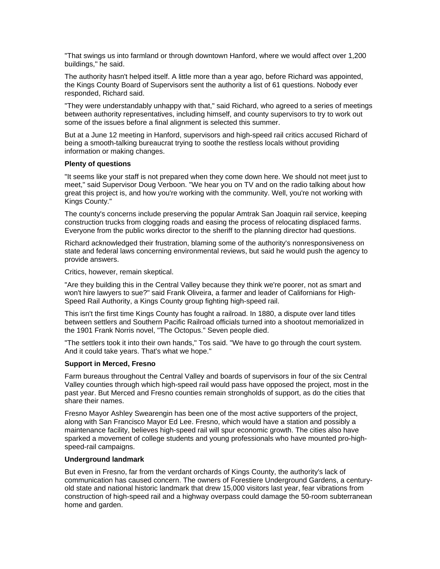"That swings us into farmland or through downtown Hanford, where we would affect over 1,200 buildings," he said.

The authority hasn't helped itself. A little more than a year ago, before Richard was appointed, the Kings County Board of Supervisors sent the authority a list of 61 questions. Nobody ever responded, Richard said.

"They were understandably unhappy with that," said Richard, who agreed to a series of meetings between authority representatives, including himself, and county supervisors to try to work out some of the issues before a final alignment is selected this summer.

But at a June 12 meeting in Hanford, supervisors and high-speed rail critics accused Richard of being a smooth-talking bureaucrat trying to soothe the restless locals without providing information or making changes.

#### **Plenty of questions**

"It seems like your staff is not prepared when they come down here. We should not meet just to meet," said Supervisor Doug Verboon. "We hear you on TV and on the radio talking about how great this project is, and how you're working with the community. Well, you're not working with Kings County."

The county's concerns include preserving the popular Amtrak San Joaquin rail service, keeping construction trucks from clogging roads and easing the process of relocating displaced farms. Everyone from the public works director to the sheriff to the planning director had questions.

Richard acknowledged their frustration, blaming some of the authority's nonresponsiveness on state and federal laws concerning environmental reviews, but said he would push the agency to provide answers.

Critics, however, remain skeptical.

"Are they building this in the Central Valley because they think we're poorer, not as smart and won't hire lawyers to sue?" said Frank Oliveira, a farmer and leader of Californians for High-Speed Rail Authority, a Kings County group fighting high-speed rail.

This isn't the first time Kings County has fought a railroad. In 1880, a dispute over land titles between settlers and Southern Pacific Railroad officials turned into a shootout memorialized in the 1901 Frank Norris novel, "The Octopus." Seven people died.

"The settlers took it into their own hands," Tos said. "We have to go through the court system. And it could take years. That's what we hope."

### **Support in Merced, Fresno**

Farm bureaus throughout the Central Valley and boards of supervisors in four of the six Central Valley counties through which high-speed rail would pass have opposed the project, most in the past year. But Merced and Fresno counties remain strongholds of support, as do the cities that share their names.

Fresno Mayor Ashley Swearengin has been one of the most active supporters of the project, along with San Francisco Mayor Ed Lee. Fresno, which would have a station and possibly a maintenance facility, believes high-speed rail will spur economic growth. The cities also have sparked a movement of college students and young professionals who have mounted pro-highspeed-rail campaigns.

#### **Underground landmark**

But even in Fresno, far from the verdant orchards of Kings County, the authority's lack of communication has caused concern. The owners of Forestiere Underground Gardens, a centuryold state and national historic landmark that drew 15,000 visitors last year, fear vibrations from construction of high-speed rail and a highway overpass could damage the 50-room subterranean home and garden.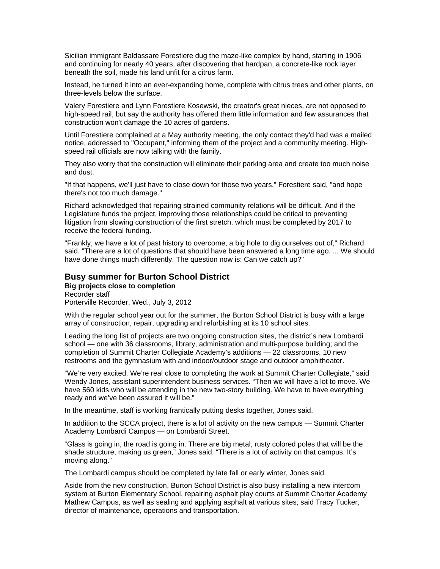Sicilian immigrant Baldassare Forestiere dug the maze-like complex by hand, starting in 1906 and continuing for nearly 40 years, after discovering that hardpan, a concrete-like rock layer beneath the soil, made his land unfit for a citrus farm.

Instead, he turned it into an ever-expanding home, complete with citrus trees and other plants, on three-levels below the surface.

Valery Forestiere and Lynn Forestiere Kosewski, the creator's great nieces, are not opposed to high-speed rail, but say the authority has offered them little information and few assurances that construction won't damage the 10 acres of gardens.

Until Forestiere complained at a May authority meeting, the only contact they'd had was a mailed notice, addressed to "Occupant," informing them of the project and a community meeting. Highspeed rail officials are now talking with the family.

They also worry that the construction will eliminate their parking area and create too much noise and dust.

"If that happens, we'll just have to close down for those two years," Forestiere said, "and hope there's not too much damage."

Richard acknowledged that repairing strained community relations will be difficult. And if the Legislature funds the project, improving those relationships could be critical to preventing litigation from slowing construction of the first stretch, which must be completed by 2017 to receive the federal funding.

"Frankly, we have a lot of past history to overcome, a big hole to dig ourselves out of," Richard said. "There are a lot of questions that should have been answered a long time ago. ... We should have done things much differently. The question now is: Can we catch up?"

## **Busy summer for Burton School District**

**Big projects close to completion**  Recorder staff Porterville Recorder, Wed., July 3, 2012

With the regular school year out for the summer, the Burton School District is busy with a large array of construction, repair, upgrading and refurbishing at its 10 school sites.

Leading the long list of projects are two ongoing construction sites, the district's new Lombardi school — one with 36 classrooms, library, administration and multi-purpose building; and the completion of Summit Charter Collegiate Academy's additions — 22 classrooms, 10 new restrooms and the gymnasium with and indoor/outdoor stage and outdoor amphitheater.

"We're very excited. We're real close to completing the work at Summit Charter Collegiate," said Wendy Jones, assistant superintendent business services. "Then we will have a lot to move. We have 560 kids who will be attending in the new two-story building. We have to have everything ready and we've been assured it will be."

In the meantime, staff is working frantically putting desks together, Jones said.

In addition to the SCCA project, there is a lot of activity on the new campus — Summit Charter Academy Lombardi Campus — on Lombardi Street.

"Glass is going in, the road is going in. There are big metal, rusty colored poles that will be the shade structure, making us green," Jones said. "There is a lot of activity on that campus. It's moving along."

The Lombardi campus should be completed by late fall or early winter, Jones said.

Aside from the new construction, Burton School District is also busy installing a new intercom system at Burton Elementary School, repairing asphalt play courts at Summit Charter Academy Mathew Campus, as well as sealing and applying asphalt at various sites, said Tracy Tucker, director of maintenance, operations and transportation.